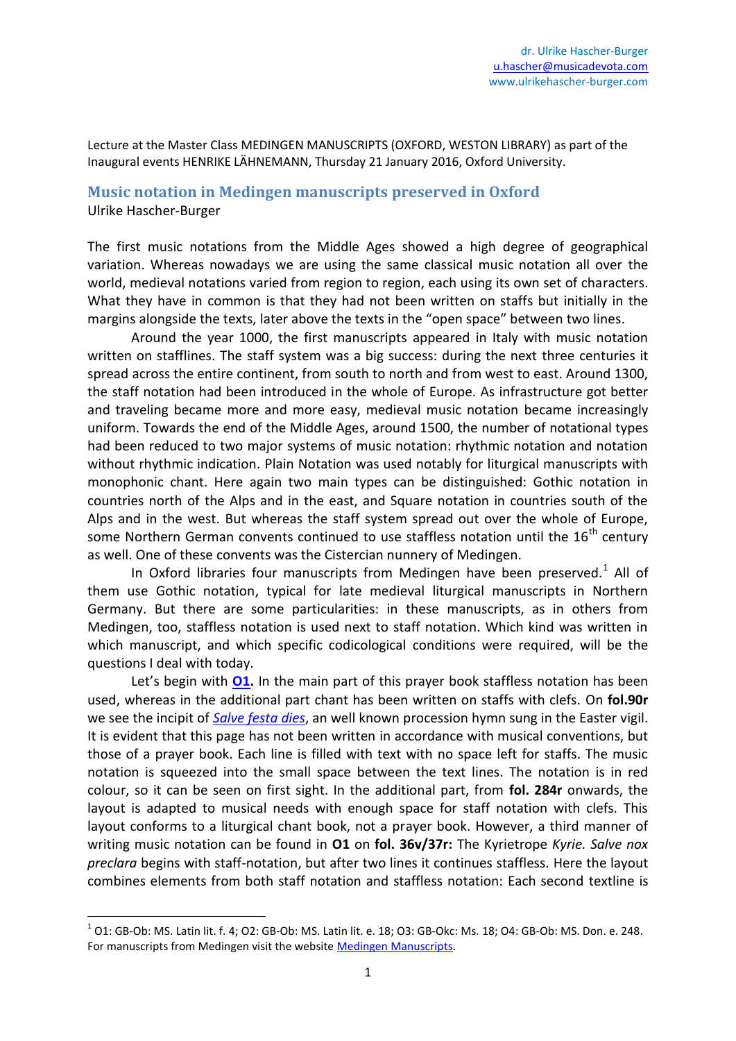Lecture at the Master Class MEDINGEN MANUSCRIPTS (OXFORD, WESTON LIBRARY) as part of the Inaugural events HENRIKE LÄHNEMANN, Thursday 21 January 2016, Oxford University.

## **Music notation in Medingen manuscripts preserved in Oxford** Ulrike Hascher-Burger

The first music notations from the Middle Ages showed a high degree of geographical variation. Whereas nowadays we are using the same classical music notation all over the world, medieval notations varied from region to region, each using its own set of characters. What they have in common is that they had not been written on staffs but initially in the margins alongside the texts, later above the texts in the "open space" between two lines.

Around the year 1000, the first manuscripts appeared in Italy with music notation written on stafflines. The staff system was a big success: during the next three centuries it spread across the entire continent, from south to north and from west to east. Around 1300, the staff notation had been introduced in the whole of Europe. As infrastructure got better and traveling became more and more easy, medieval music notation became increasingly uniform. Towards the end of the Middle Ages, around 1500, the number of notational types had been reduced to two major systems of music notation: rhythmic notation and notation without rhythmic indication. Plain Notation was used notably for liturgical manuscripts with monophonic chant. Here again two main types can be distinguished: Gothic notation in countries north of the Alps and in the east, and Square notation in countries south of the Alps and in the west. But whereas the staff system spread out over the whole of Europe, some Northern German convents continued to use staffless notation until the  $16<sup>th</sup>$  century as well. One of these convents was the Cistercian nunnery of Medingen.

In Oxford libraries four manuscripts from Medingen have been preserved. $1$  All of them use Gothic notation, typical for late medieval liturgical manuscripts in Northern Germany. But there are some particularities: in these manuscripts, as in others from Medingen, too, staffless notation is used next to staff notation. Which kind was written in which manuscript, and which specific codicological conditions were required, will be the questions I deal with today.

Let's begin with **[O1.](https://www.flickr.com/photos/94467051@N00/sets/72157653092636254/)** In the main part of this prayer book staffless notation has been used, whereas in the additional part chant has been written on staffs with clefs. On **fol.90r** we see the incipit of *[Salve festa dies](http://cantusindex.org/id/a00177)*, an well known procession hymn sung in the Easter vigil. It is evident that this page has not been written in accordance with musical conventions, but those of a prayer book. Each line is filled with text with no space left for staffs. The music notation is squeezed into the small space between the text lines. The notation is in red colour, so it can be seen on first sight. In the additional part, from **fol. 284r** onwards, the layout is adapted to musical needs with enough space for staff notation with clefs. This layout conforms to a liturgical chant book, not a prayer book. However, a third manner of writing music notation can be found in **O1** on **fol. 36v/37r:** The Kyrietrope *Kyrie. Salve nox preclara* begins with staff-notation, but after two lines it continues staffless. Here the layout combines elements from both staff notation and staffless notation: Each second textline is

1

 $^1$  O1: GB-Ob: MS. Latin lit. f. 4; O2: GB-Ob: MS. Latin lit. e. 18; O3: GB-Okc: Ms. 18; O4: GB-Ob: MS. Don. e. 248. For manuscripts from Medingen visit the websit[e Medingen Manuscripts.](http://medingen.seh.ox.ac.uk/)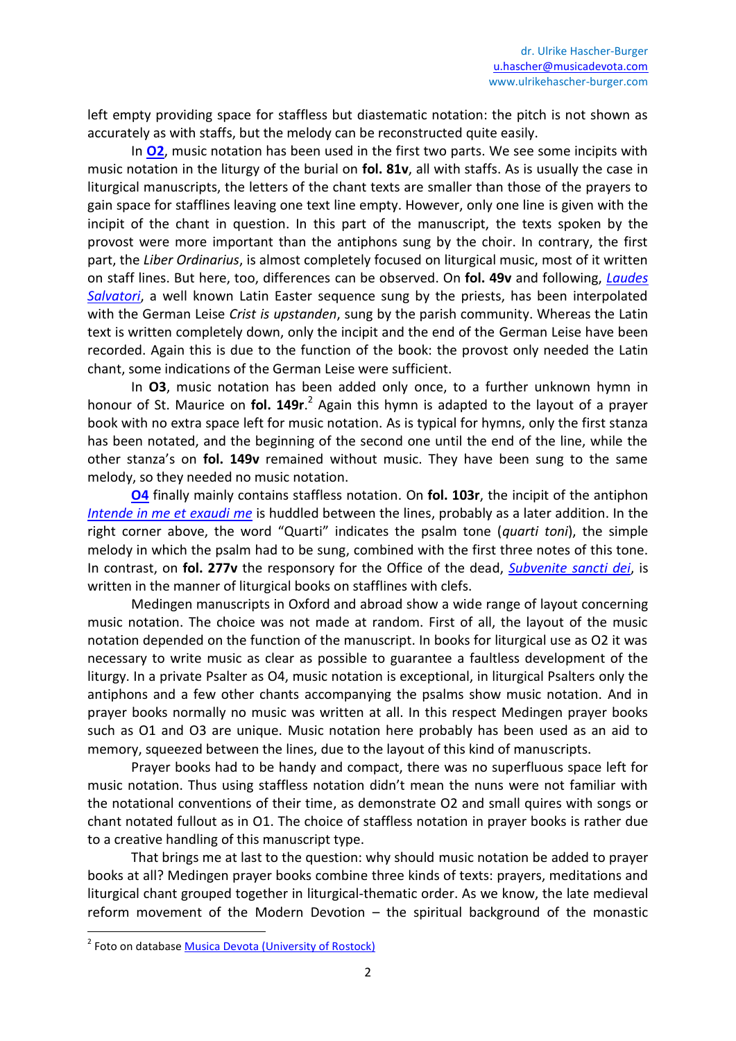left empty providing space for staffless but diastematic notation: the pitch is not shown as accurately as with staffs, but the melody can be reconstructed quite easily.

In **[O2](https://www.flickr.com/photos/94467051@N00/sets/72157653099970783/)**, music notation has been used in the first two parts. We see some incipits with music notation in the liturgy of the burial on **fol. 81v**, all with staffs. As is usually the case in liturgical manuscripts, the letters of the chant texts are smaller than those of the prayers to gain space for stafflines leaving one text line empty. However, only one line is given with the incipit of the chant in question. In this part of the manuscript, the texts spoken by the provost were more important than the antiphons sung by the choir. In contrary, the first part, the *Liber Ordinarius*, is almost completely focused on liturgical music, most of it written on staff lines. But here, too, differences can be observed. On **fol. 49v** and following, *[Laudes](http://cantusindex.org/id/g02530)  [Salvatori](http://cantusindex.org/id/g02530)*, a well known Latin Easter sequence sung by the priests, has been interpolated with the German Leise *Crist is upstanden*, sung by the parish community. Whereas the Latin text is written completely down, only the incipit and the end of the German Leise have been recorded. Again this is due to the function of the book: the provost only needed the Latin chant, some indications of the German Leise were sufficient.

In **O3**, music notation has been added only once, to a further unknown hymn in honour of St. Maurice on **fol. 149r**. 2 Again this hymn is adapted to the layout of a prayer book with no extra space left for music notation. As is typical for hymns, only the first stanza has been notated, and the beginning of the second one until the end of the line, while the other stanza's on **fol. 149v** remained without music. They have been sung to the same melody, so they needed no music notation.

**[O4](https://www.flickr.com/photos/94467051@N00/sets/72157662108919616)** finally mainly contains staffless notation. On **fol. 103r**, the incipit of the antiphon *[Intende in me et exaudi me](http://cantusdatabase.org/node/376727)* is huddled between the lines, probably as a later addition. In the right corner above, the word "Quarti" indicates the psalm tone (*quarti toni*), the simple melody in which the psalm had to be sung, combined with the first three notes of this tone. In contrast, on **fol. 277v** the responsory for the Office of the dead, *[Subvenite sancti dei](http://cantusindex.org/id/007716)*, is written in the manner of liturgical books on stafflines with clefs.

Medingen manuscripts in Oxford and abroad show a wide range of layout concerning music notation. The choice was not made at random. First of all, the layout of the music notation depended on the function of the manuscript. In books for liturgical use as O2 it was necessary to write music as clear as possible to guarantee a faultless development of the liturgy. In a private Psalter as O4, music notation is exceptional, in liturgical Psalters only the antiphons and a few other chants accompanying the psalms show music notation. And in prayer books normally no music was written at all. In this respect Medingen prayer books such as O1 and O3 are unique. Music notation here probably has been used as an aid to memory, squeezed between the lines, due to the layout of this kind of manuscripts.

Prayer books had to be handy and compact, there was no superfluous space left for music notation. Thus using staffless notation didn't mean the nuns were not familiar with the notational conventions of their time, as demonstrate O2 and small quires with songs or chant notated fullout as in O1. The choice of staffless notation in prayer books is rather due to a creative handling of this manuscript type.

That brings me at last to the question: why should music notation be added to prayer books at all? Medingen prayer books combine three kinds of texts: prayers, meditations and liturgical chant grouped together in liturgical-thematic order. As we know, the late medieval reform movement of the Modern Devotion – the spiritual background of the monastic

**.** 

<sup>&</sup>lt;sup>2</sup> Foto on database **Musica Devota (University of Rostock)**